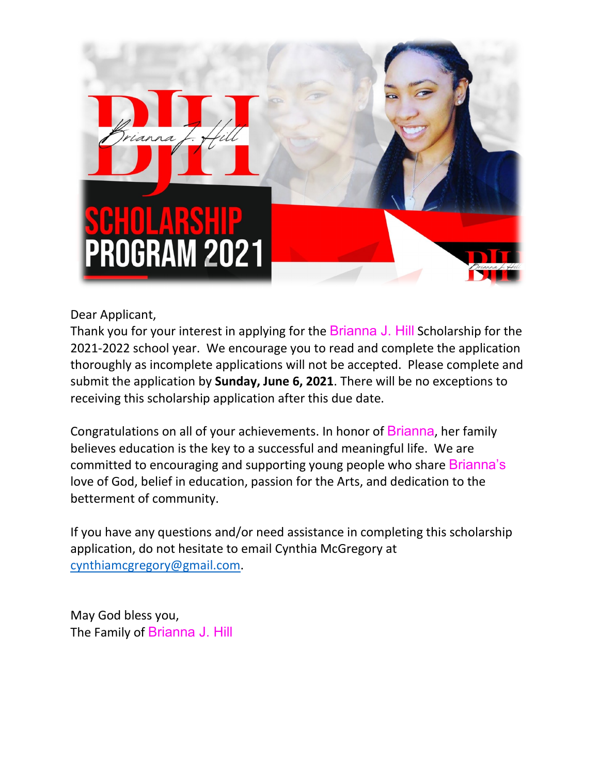

## Dear Applicant,

Thank you for your interest in applying for the Brianna J. Hill Scholarship for the 2021-2022 school year. We encourage you to read and complete the application thoroughly as incomplete applications will not be accepted. Please complete and submit the application by **Sunday, June 6, 2021**. There will be no exceptions to receiving this scholarship application after this due date.

Congratulations on all of your achievements. In honor of Brianna, her family believes education is the key to a successful and meaningful life. We are committed to encouraging and supporting young people who share Brianna's love of God, belief in education, passion for the Arts, and dedication to the betterment of community.

If you have any questions and/or need assistance in completing this scholarship application, do not hesitate to email Cynthia McGregory at [cynthiamcgregory@gmail.com.](mailto:cynthiamcgregory@gmail.com)

May God bless you, The Family of Brianna J. Hill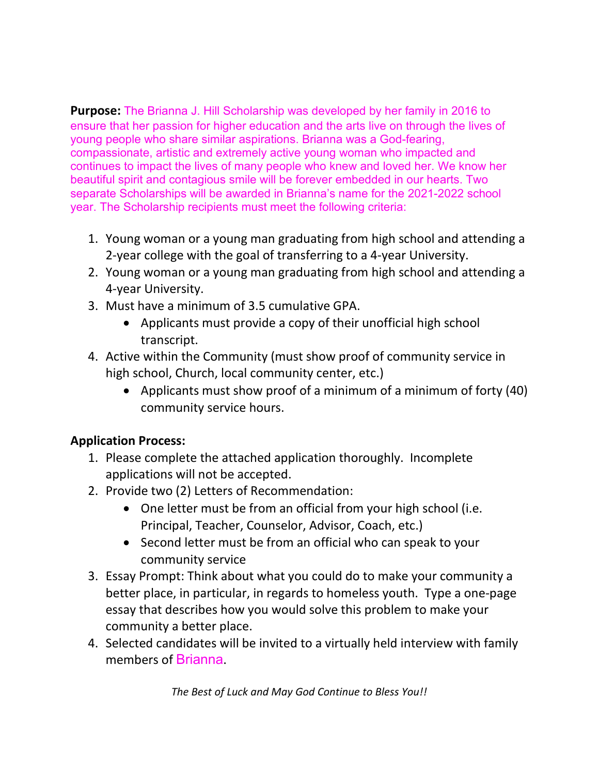**Purpose:** The Brianna J. Hill Scholarship was developed by her family in 2016 to ensure that her passion for higher education and the arts live on through the lives of young people who share similar aspirations. Brianna was a God-fearing, compassionate, artistic and extremely active young woman who impacted and continues to impact the lives of many people who knew and loved her. We know her beautiful spirit and contagious smile will be forever embedded in our hearts. Two separate Scholarships will be awarded in Brianna's name for the 2021-2022 school year. The Scholarship recipients must meet the following criteria:

- 1. Young woman or a young man graduating from high school and attending a 2-year college with the goal of transferring to a 4-year University.
- 2. Young woman or a young man graduating from high school and attending a 4-year University.
- 3. Must have a minimum of 3.5 cumulative GPA.
	- Applicants must provide a copy of their unofficial high school transcript.
- 4. Active within the Community (must show proof of community service in high school, Church, local community center, etc.)
	- Applicants must show proof of a minimum of a minimum of forty (40) community service hours.

## **Application Process:**

- 1. Please complete the attached application thoroughly. Incomplete applications will not be accepted.
- 2. Provide two (2) Letters of Recommendation:
	- One letter must be from an official from your high school (i.e. Principal, Teacher, Counselor, Advisor, Coach, etc.)
	- Second letter must be from an official who can speak to your community service
- 3. Essay Prompt: Think about what you could do to make your community a better place, in particular, in regards to homeless youth. Type a one-page essay that describes how you would solve this problem to make your community a better place.
- 4. Selected candidates will be invited to a virtually held interview with family members of Brianna.

*The Best of Luck and May God Continue to Bless You!!*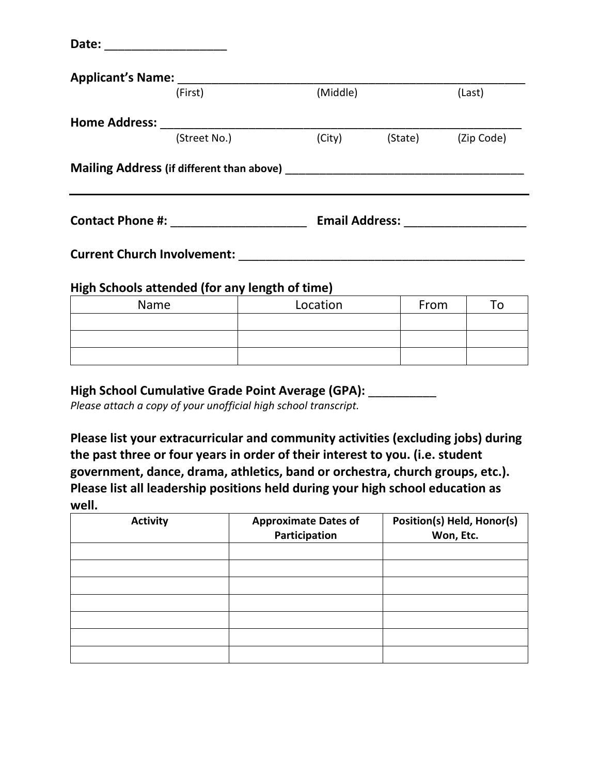| Applicant's Name: ______ |                                                |          |                    |      |        |
|--------------------------|------------------------------------------------|----------|--------------------|------|--------|
|                          | (First)                                        | (Middle) |                    |      | (Last) |
|                          |                                                |          |                    |      |        |
|                          | (Street No.)                                   | (City)   | (State) (Zip Code) |      |        |
|                          |                                                |          |                    |      |        |
|                          |                                                |          |                    |      |        |
|                          |                                                |          |                    |      |        |
|                          | High Schools attended (for any length of time) |          |                    |      |        |
| Name                     |                                                | Location |                    | From | To     |
|                          |                                                |          |                    |      |        |

| High School Cumulative Grade Point Average (GPA): |  |
|---------------------------------------------------|--|
|---------------------------------------------------|--|

*Please attach a copy of your unofficial high school transcript.*

**Please list your extracurricular and community activities (excluding jobs) during the past three or four years in order of their interest to you. (i.e. student government, dance, drama, athletics, band or orchestra, church groups, etc.). Please list all leadership positions held during your high school education as well.**

| <b>Activity</b> | <b>Approximate Dates of</b><br>Participation | Position(s) Held, Honor(s)<br>Won, Etc. |
|-----------------|----------------------------------------------|-----------------------------------------|
|                 |                                              |                                         |
|                 |                                              |                                         |
|                 |                                              |                                         |
|                 |                                              |                                         |
|                 |                                              |                                         |
|                 |                                              |                                         |
|                 |                                              |                                         |